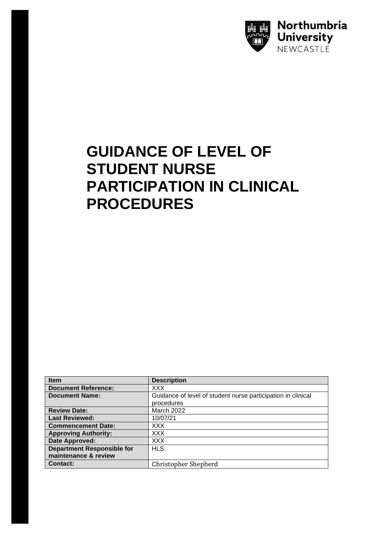

## **GUIDANCE OF LEVEL OF STUDENT NURSE PARTICIPATION IN CLINICAL PROCEDURES**

| <b>Item</b>                       | <b>Description</b>                                           |
|-----------------------------------|--------------------------------------------------------------|
| <b>Document Reference:</b>        | XXX                                                          |
| <b>Document Name:</b>             | Guidance of level of student nurse participation in clinical |
|                                   | procedures                                                   |
| <b>Review Date:</b>               | <b>March 2022</b>                                            |
| <b>Last Reviewed:</b>             | 10/07/21                                                     |
| <b>Commencement Date:</b>         | XXX.                                                         |
| <b>Approving Authority:</b>       | XXX.                                                         |
| Date Approved:                    | XXX.                                                         |
| <b>Department Responsible for</b> | <b>HLS</b>                                                   |
| maintenance & review              |                                                              |
| Contact:                          | <b>Christopher Shepherd</b>                                  |